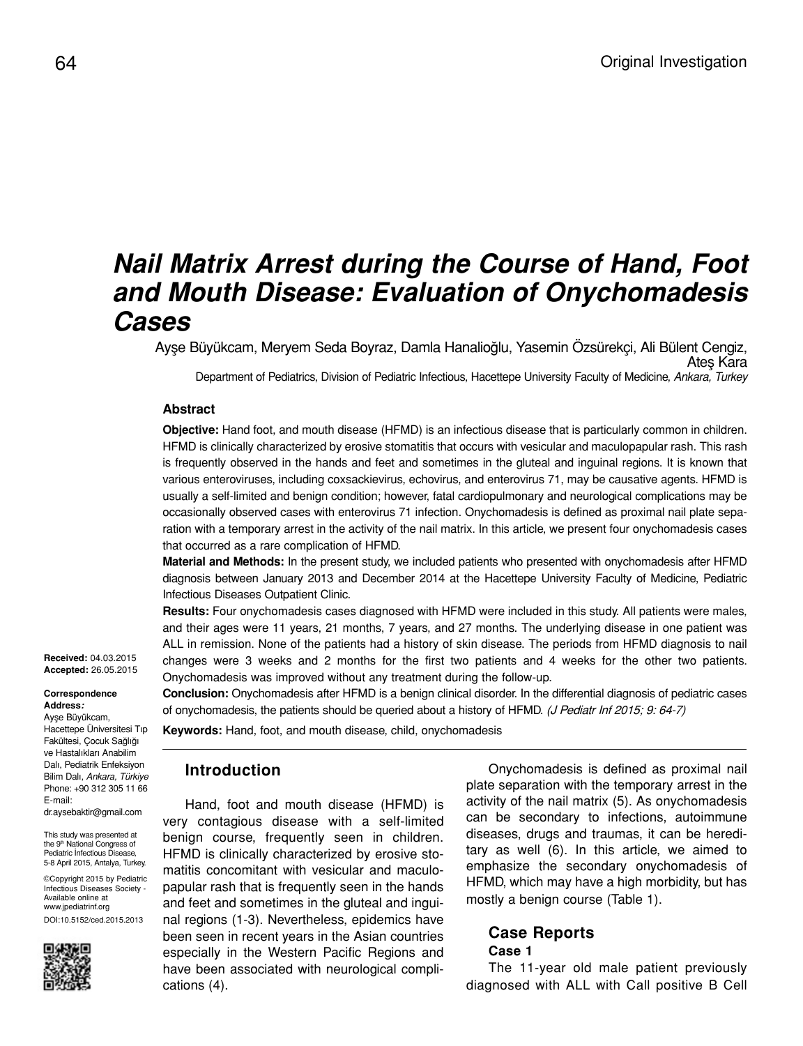# *Nail Matrix Arrest during the Course of Hand, Foot and Mouth Disease: Evaluation of Onychomadesis Cases*

Ayşe Büyükcam, Meryem Seda Boyraz, Damla Hanalioğlu, Yasemin Özsürekçi, Ali Bülent Cengiz, Ateş Kara Department of Pediatrics, Division of Pediatric Infectious, Hacettepe University Faculty of Medicine, *Ankara, Turkey*

### **Abstract**

**Objective:** Hand foot, and mouth disease (HFMD) is an infectious disease that is particularly common in children. HFMD is clinically characterized by erosive stomatitis that occurs with vesicular and maculopapular rash. This rash is frequently observed in the hands and feet and sometimes in the gluteal and inguinal regions. It is known that various enteroviruses, including coxsackievirus, echovirus, and enterovirus 71, may be causative agents. HFMD is usually a self-limited and benign condition; however, fatal cardiopulmonary and neurological complications may be occasionally observed cases with enterovirus 71 infection. Onychomadesis is defined as proximal nail plate separation with a temporary arrest in the activity of the nail matrix. In this article, we present four onychomadesis cases that occurred as a rare complication of HFMD.

**Material and Methods:** In the present study, we included patients who presented with onychomadesis after HFMD diagnosis between January 2013 and December 2014 at the Hacettepe University Faculty of Medicine, Pediatric Infectious Diseases Outpatient Clinic.

**Results:** Four onychomadesis cases diagnosed with HFMD were included in this study. All patients were males, and their ages were 11 years, 21 months, 7 years, and 27 months. The underlying disease in one patient was ALL in remission. None of the patients had a history of skin disease. The periods from HFMD diagnosis to nail changes were 3 weeks and 2 months for the first two patients and 4 weeks for the other two patients. Onychomadesis was improved without any treatment during the follow-up.

**Conclusion:** Onychomadesis after HFMD is a benign clinical disorder. In the differential diagnosis of pediatric cases

of onychomadesis, the patients should be queried about a history of HFMD. (J Pediatr Inf 2015; 9: 64-7)

**Correspondence Address***:*

**Received:** 04.03.2015 **Accepted:** 26.05.2015

Ayşe Büyükcam, Hacettepe Üniversitesi Tıp

Fakültesi, Çocuk Sağlığı ve Hastalıkları Anabilim Dalı, Pediatrik Enfeksiyon Bilim Dalı, *Ankara, Türkiye* Phone: +90 312 305 11 66 E-mail: dr.aysebaktir@gmail.com

This study was presented at the 9<sup>th</sup> National Congress of Pediatric İnfectious Disease, 5-8 April 2015, Antalya, Turkey.

©Copyright 2015 by Pediatric Infectious Diseases Society - Available online at www.jpediatrinf.org DOI:10.5152/ced.2015.2013



**Introduction**

Hand, foot and mouth disease (HFMD) is very contagious disease with a self-limited benign course, frequently seen in children. HFMD is clinically characterized by erosive stomatitis concomitant with vesicular and maculopapular rash that is frequently seen in the hands and feet and sometimes in the gluteal and inguinal regions (1-3). Nevertheless, epidemics have been seen in recent years in the Asian countries especially in the Western Pacific Regions and have been associated with neurological complications (4).

**Keywords:** Hand, foot, and mouth disease, child, onychomadesis

Onychomadesis is defined as proximal nail plate separation with the temporary arrest in the activity of the nail matrix (5). As onychomadesis can be secondary to infections, autoimmune diseases, drugs and traumas, it can be hereditary as well (6). In this article, we aimed to emphasize the secondary onychomadesis of HFMD, which may have a high morbidity, but has mostly a benign course (Table 1).

## **Case Reports Case 1**

The 11-year old male patient previously diagnosed with ALL with Call positive B Cell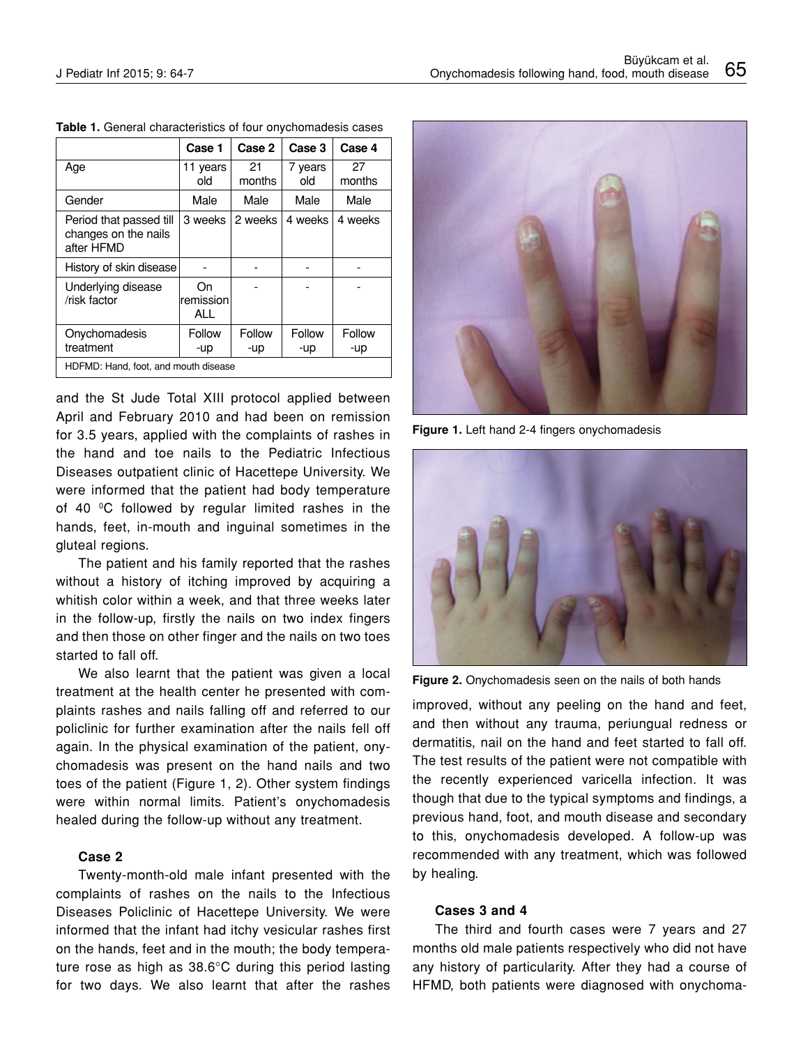|                                                               | Case 1                 | Case 2        | Case 3         | Case 4        |
|---------------------------------------------------------------|------------------------|---------------|----------------|---------------|
| Age                                                           | 11 years<br>old        | 21<br>months  | 7 years<br>old | 27<br>months  |
| Gender                                                        | Male                   | Male          | Male           | Male          |
| Period that passed till<br>changes on the nails<br>after HFMD | 3 weeks                | 2 weeks       | 4 weeks        | 4 weeks       |
| History of skin disease                                       |                        |               |                |               |
| Underlying disease<br>/risk factor                            | On<br>remission<br>ALL |               |                |               |
| Onychomadesis<br>treatment                                    | Follow<br>-up          | Follow<br>-up | Follow<br>-up  | Follow<br>-up |
| HDFMD: Hand, foot, and mouth disease                          |                        |               |                |               |

**Table 1.** General characteristics of four onychomadesis cases

and the St Jude Total XIII protocol applied between April and February 2010 and had been on remission for 3.5 years, applied with the complaints of rashes in the hand and toe nails to the Pediatric Infectious Diseases outpatient clinic of Hacettepe University. We were informed that the patient had body temperature of 40 °C followed by regular limited rashes in the hands, feet, in-mouth and inguinal sometimes in the gluteal regions.

The patient and his family reported that the rashes without a history of itching improved by acquiring a whitish color within a week, and that three weeks later in the follow-up, firstly the nails on two index fingers and then those on other finger and the nails on two toes started to fall off.

We also learnt that the patient was given a local treatment at the health center he presented with complaints rashes and nails falling off and referred to our policlinic for further examination after the nails fell off again. In the physical examination of the patient, onychomadesis was present on the hand nails and two toes of the patient (Figure 1, 2). Other system findings were within normal limits. Patient's onychomadesis healed during the follow-up without any treatment.

#### **Case 2**

Twenty-month-old male infant presented with the complaints of rashes on the nails to the Infectious Diseases Policlinic of Hacettepe University. We were informed that the infant had itchy vesicular rashes first on the hands, feet and in the mouth; the body temperature rose as high as 38.6°C during this period lasting for two days. We also learnt that after the rashes



**Figure 1.** Left hand 2-4 fingers onychomadesis



**Figure 2.** Onychomadesis seen on the nails of both hands

improved, without any peeling on the hand and feet, and then without any trauma, periungual redness or dermatitis, nail on the hand and feet started to fall off. The test results of the patient were not compatible with the recently experienced varicella infection. It was though that due to the typical symptoms and findings, a previous hand, foot, and mouth disease and secondary to this, onychomadesis developed. A follow-up was recommended with any treatment, which was followed by healing.

#### **Cases 3 and 4**

The third and fourth cases were 7 years and 27 months old male patients respectively who did not have any history of particularity. After they had a course of HFMD, both patients were diagnosed with onychoma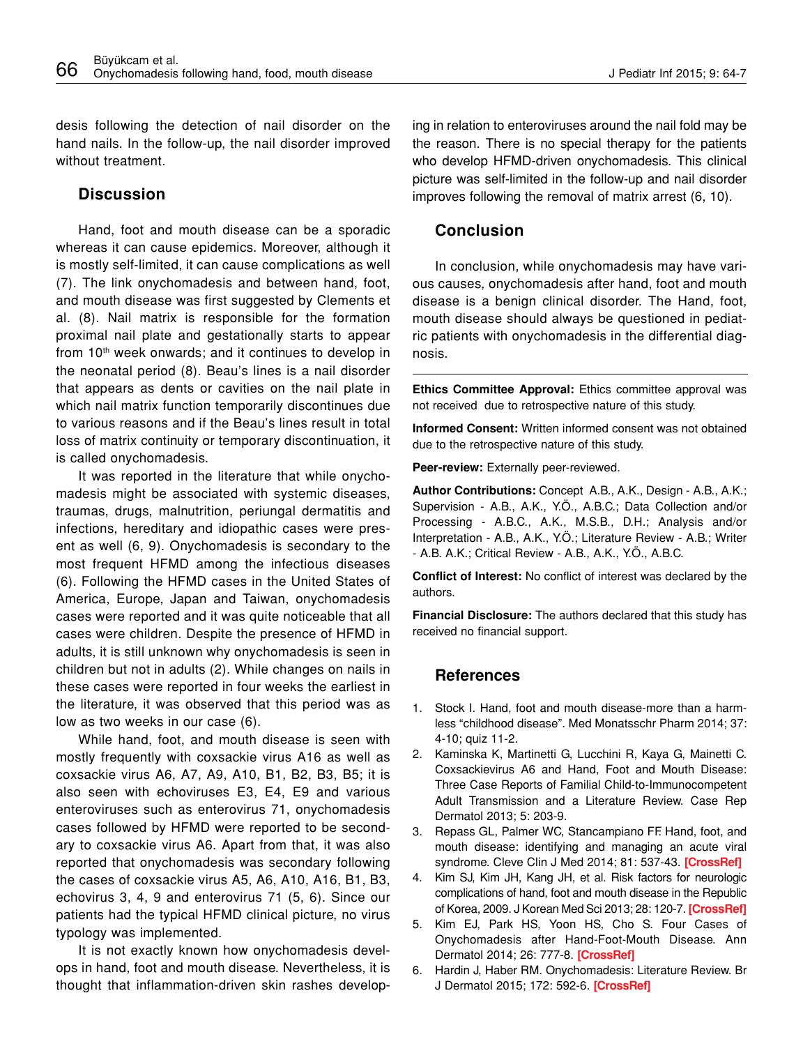desis following the detection of nail disorder on the hand nails. In the follow-up, the nail disorder improved without treatment.

# **Discussion**

Hand, foot and mouth disease can be a sporadic whereas it can cause epidemics. Moreover, although it is mostly self-limited, it can cause complications as well (7). The link onychomadesis and between hand, foot, and mouth disease was first suggested by Clements et al. (8). Nail matrix is responsible for the formation proximal nail plate and gestationally starts to appear from 10<sup>th</sup> week onwards; and it continues to develop in the neonatal period (8). Beau's lines is a nail disorder that appears as dents or cavities on the nail plate in which nail matrix function temporarily discontinues due to various reasons and if the Beau's lines result in total loss of matrix continuity or temporary discontinuation, it is called onychomadesis.

It was reported in the literature that while onychomadesis might be associated with systemic diseases, traumas, drugs, malnutrition, periungal dermatitis and infections, hereditary and idiopathic cases were present as well (6, 9). Onychomadesis is secondary to the most frequent HFMD among the infectious diseases (6). Following the HFMD cases in the United States of America, Europe, Japan and Taiwan, onychomadesis cases were reported and it was quite noticeable that all cases were children. Despite the presence of HFMD in adults, it is still unknown why onychomadesis is seen in children but not in adults (2). While changes on nails in these cases were reported in four weeks the earliest in the literature, it was observed that this period was as low as two weeks in our case (6).

While hand, foot, and mouth disease is seen with mostly frequently with coxsackie virus A16 as well as coxsackie virus A6, A7, A9, A10, B1, B2, B3, B5; it is also seen with echoviruses E3, E4, E9 and various enteroviruses such as enterovirus 71, onychomadesis cases followed by HFMD were reported to be secondary to coxsackie virus A6. Apart from that, it was also reported that onychomadesis was secondary following the cases of coxsackie virus A5, A6, A10, A16, B1, B3, echovirus 3, 4, 9 and enterovirus 71 (5, 6). Since our patients had the typical HFMD clinical picture, no virus typology was implemented.

It is not exactly known how onychomadesis develops in hand, foot and mouth disease. Nevertheless, it is thought that inflammation-driven skin rashes developing in relation to enteroviruses around the nail fold may be the reason. There is no special therapy for the patients who develop HFMD-driven onychomadesis. This clinical picture was self-limited in the follow-up and nail disorder improves following the removal of matrix arrest (6, 10).

# **Conclusion**

In conclusion, while onychomadesis may have various causes, onychomadesis after hand, foot and mouth disease is a benign clinical disorder. The Hand, foot, mouth disease should always be questioned in pediatric patients with onychomadesis in the differential diagnosis.

**Ethics Committee Approval:** Ethics committee approval was not received due to retrospective nature of this study.

**Informed Consent:** Written informed consent was not obtained due to the retrospective nature of this study.

**Peer-review:** Externally peer-reviewed.

**Author Contributions:** Concept A.B., A.K., Design - A.B., A.K.; Supervision - A.B., A.K., Y.Ö., A.B.C.; Data Collection and/or Processing - A.B.C., A.K., M.S.B., D.H.; Analysis and/or Interpretation - A.B., A.K., Y.Ö.; Literature Review - A.B.; Writer - A.B. A.K.; Critical Review - A.B., A.K., Y.Ö., A.B.C.

**Conflict of Interest:** No conflict of interest was declared by the authors.

**Financial Disclosure:** The authors declared that this study has received no financial support.

## **References**

- 1. Stock I. Hand, foot and mouth disease-more than a harmless "childhood disease". Med Monatsschr Pharm 2014; 37: 4-10; quiz 11-2.
- 2. Kaminska K, Martinetti G, Lucchini R, Kaya G, Mainetti C. Coxsackievirus A6 and Hand, Foot and Mouth Disease: Three Case Reports of Familial Child-to-Immunocompetent Adult Transmission and a Literature Review. Case Rep Dermatol 2013; 5: 203-9.
- 3. Repass GL, Palmer WC, Stancampiano FF. Hand, foot, and mouth disease: identifying and managing an acute viral syndrome. Cleve Clin J Med 2014; 81: 537-43. **[\[CrossRef](http://dx.doi.org/10.3949/ccjm.81a.13132)]**
- 4. Kim SJ, Kim JH, Kang JH, et al. Risk factors for neurologic complications of hand, foot and mouth disease in the Republic of Korea, 2009. J Korean Med Sci 2013; 28: 120-7. **[\[CrossRef\]](http://dx.doi.org/10.3346/jkms.2013.28.1.120)**
- 5. Kim EJ, Park HS, Yoon HS, Cho S. Four Cases of Onychomadesis after Hand-Foot-Mouth Disease. Ann Dermatol 2014; 26: 777-8. **[\[CrossRef\]](http://dx.doi.org/10.5021/ad.2014.26.6.777)**
- 6. Hardin J, Haber RM. Onychomadesis: Literature Review. Br J Dermatol 2015; 172: 592-6. **[\[CrossRef](http://dx.doi.org/10.1111/bjd.13339)]**